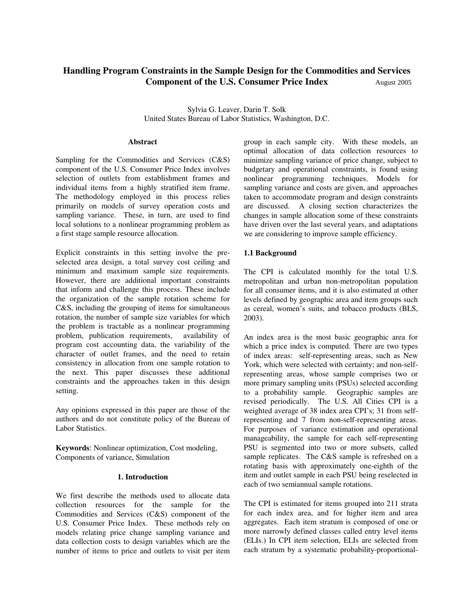# **Handling Program Constraints in the Sample Design for the Commodities and Services Component of the U.S. Consumer Price Index August 2005**

Sylvia G. Leaver, Darin T. Solk United States Bureau of Labor Statistics, Washington, D.C.

#### **Abstract**

Sampling for the Commodities and Services (C&S) component of the U.S. Consumer Price Index involves selection of outlets from establishment frames and individual items from a highly stratified item frame. The methodology employed in this process relies primarily on models of survey operation costs and sampling variance. These, in turn, are used to find local solutions to a nonlinear programming problem as a first stage sample resource allocation.

Explicit constraints in this setting involve the preselected area design, a total survey cost ceiling and minimum and maximum sample size requirements. However, there are additional important constraints that inform and challenge this process. These include the organization of the sample rotation scheme for C&S, including the grouping of items for simultaneous rotation, the number of sample size variables for which the problem is tractable as a nonlinear programming problem, publication requirements, availability of program cost accounting data, the variability of the character of outlet frames, and the need to retain consistency in allocation from one sample rotation to the next. This paper discusses these additional constraints and the approaches taken in this design setting.

Any opinions expressed in this paper are those of the authors and do not constitute policy of the Bureau of Labor Statistics.

**Keywords**: Nonlinear optimization, Cost modeling, Components of variance, Simulation

#### **1. Introduction**

We first describe the methods used to allocate data collection resources for the sample for the Commodities and Services (C&S) component of the U.S. Consumer Price Index. These methods rely on models relating price change sampling variance and data collection costs to design variables which are the number of items to price and outlets to visit per item

group in each sample city. With these models, an optimal allocation of data collection resources to minimize sampling variance of price change, subject to budgetary and operational constraints, is found using nonlinear programming techniques. Models for sampling variance and costs are given, and approaches taken to accommodate program and design constraints are discussed. A closing section characterizes the changes in sample allocation some of these constraints have driven over the last several years, and adaptations we are considering to improve sample efficiency.

#### **1.1 Background**

The CPI is calculated monthly for the total U.S. metropolitan and urban non-metropolitan population for all consumer items, and it is also estimated at other levels defined by geographic area and item groups such as cereal, women's suits, and tobacco products (BLS, 2003).

An index area is the most basic geographic area for which a price index is computed. There are two types of index areas: self-representing areas, such as New York, which were selected with certainty; and non-selfrepresenting areas, whose sample comprises two or more primary sampling units (PSUs) selected according to a probability sample. Geographic samples are revised periodically. The U.S. All Cities CPI is a weighted average of 38 index area CPI's; 31 from selfrepresenting and 7 from non-self-representing areas. For purposes of variance estimation and operational manageability, the sample for each self-representing PSU is segmented into two or more subsets, called sample replicates. The C&S sample is refreshed on a rotating basis with approximately one-eighth of the item and outlet sample in each PSU being reselected in each of two semiannual sample rotations.

The CPI is estimated for items grouped into 211 strata for each index area, and for higher item and area aggregates. Each item stratum is composed of one or more narrowly defined classes called entry level items (ELIs.) In CPI item selection, ELIs are selected from each stratum by a systematic probability-proportional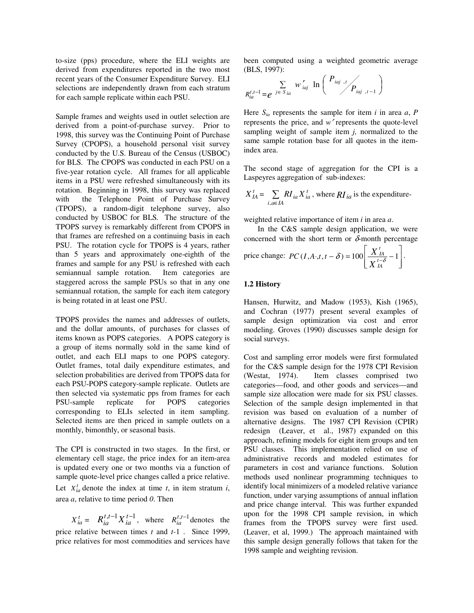to-size (pps) procedure, where the ELI weights are derived from expenditures reported in the two most recent years of the Consumer Expenditure Survey. ELI selections are independently drawn from each stratum for each sample replicate within each PSU.

Sample frames and weights used in outlet selection are derived from a point-of-purchase survey. Prior to 1998, this survey was the Continuing Point of Purchase Survey (CPOPS), a household personal visit survey conducted by the U.S. Bureau of the Census (USBOC) for BLS. The CPOPS was conducted in each PSU on a five-year rotation cycle. All frames for all applicable items in a PSU were refreshed simultaneously with its rotation. Beginning in 1998, this survey was replaced with the Telephone Point of Purchase Survey (TPOPS), a random-digit telephone survey, also conducted by USBOC for BLS. The structure of the TPOPS survey is remarkably different from CPOPS in that frames are refreshed on a continuing basis in each PSU. The rotation cycle for TPOPS is 4 years, rather than 5 years and approximately one-eighth of the frames and sample for any PSU is refreshed with each semiannual sample rotation. Item categories are staggered across the sample PSUs so that in any one semiannual rotation, the sample for each item category is being rotated in at least one PSU.

TPOPS provides the names and addresses of outlets, and the dollar amounts, of purchases for classes of items known as POPS categories. A POPS category is a group of items normally sold in the same kind of outlet, and each ELI maps to one POPS category. Outlet frames, total daily expenditure estimates, and selection probabilities are derived from TPOPS data for each PSU-POPS category-sample replicate. Outlets are then selected via systematic pps from frames for each PSU-sample replicate for POPS categories corresponding to ELIs selected in item sampling. Selected items are then priced in sample outlets on a monthly, bimonthly, or seasonal basis.

The CPI is constructed in two stages. In the first, or elementary cell stage, the price index for an item-area is updated every one or two months via a function of sample quote-level price changes called a price relative. Let  $X_{ia}^t$  denote the index at time *t*, in item stratum *i*, area *a*, relative to time period *0*. Then

 $X_{ia}^t = R_{ia}^{t,t-1} X_{ia}^{t-1}$ , where  $R_{ia}^{t,t-1}$  denotes the price relative between times *t* and *t-*1 . Since 1999, price relatives for most commodities and services have

been computed using a weighted geometric average (BLS, 1997):

$$
R_{ia}^{t,t-1} = e^{j \in S_{ia}} w'_{iaj} \ln \left( \frac{P_{iaj,t}}{P_{iaj,t-1}} \right)
$$

Here  $S_{ia}$  represents the sample for item *i* in area *a*, *P* represents the price, and *w*′ represents the quote-level sampling weight of sample item *j,* normalized to the same sample rotation base for all quotes in the itemindex area.

The second stage of aggregation for the CPI is a Laspeyres aggregation of sub-indexes:

$$
X_{IA}^t = \sum_{i,a \in IA} RI_{ia} X_{ia}^t
$$
, where  $RI_{ia}$  is the expenditure-

weighted relative importance of item *i* in area *a*.

In the C&S sample design application, we were concerned with the short term or  $\delta$ -month percentage ⎤ *X t*

price change: 
$$
PC(I, A \cdot, t, t - \delta) = 100 \left[ \frac{X^t_A}{X^{t - \delta}_A} - 1 \right].
$$

## **1.2 History**

Hansen, Hurwitz, and Madow (1953), Kish (1965), and Cochran (1977) present several examples of sample design optimization via cost and error modeling. Groves (1990) discusses sample design for social surveys.

Cost and sampling error models were first formulated for the C&S sample design for the 1978 CPI Revision (Westat, 1974). Item classes comprised two categories—food, and other goods and services—and sample size allocation were made for six PSU classes. Selection of the sample design implemented in that revision was based on evaluation of a number of alternative designs. The 1987 CPI Revision (CPIR) redesign (Leaver, et al., 1987) expanded on this approach, refining models for eight item groups and ten PSU classes. This implementation relied on use of administrative records and modeled estimates for parameters in cost and variance functions. Solution methods used nonlinear programming techniques to identify local minimizers of a modeled relative variance function, under varying assumptions of annual inflation and price change interval. This was further expanded upon for the 1998 CPI sample revision, in which frames from the TPOPS survey were first used. (Leaver, et al, 1999.) The approach maintained with this sample design generally follows that taken for the 1998 sample and weighting revision.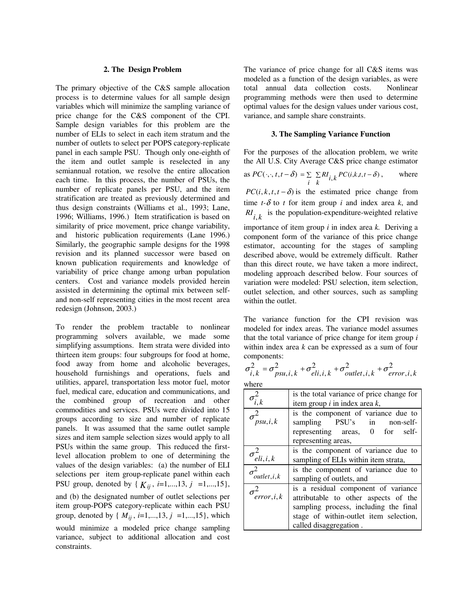#### **2. The Design Problem**

The primary objective of the C&S sample allocation process is to determine values for all sample design variables which will minimize the sampling variance of price change for the C&S component of the CPI. Sample design variables for this problem are the number of ELIs to select in each item stratum and the number of outlets to select per POPS category-replicate panel in each sample PSU. Though only one-eighth of the item and outlet sample is reselected in any semiannual rotation, we resolve the entire allocation each time. In this process, the number of PSUs, the number of replicate panels per PSU, and the item stratification are treated as previously determined and thus design constraints (Williams et al., 1993; Lane, 1996; Williams, 1996.) Item stratification is based on similarity of price movement, price change variability, and historic publication requirements (Lane 1996.) Similarly, the geographic sample designs for the 1998 revision and its planned successor were based on known publication requirements and knowledge of variability of price change among urban population centers. Cost and variance models provided herein assisted in determining the optimal mix between selfand non-self representing cities in the most recent area redesign (Johnson, 2003.)

To render the problem tractable to nonlinear programming solvers available, we made some simplifying assumptions. Item strata were divided into thirteen item groups: four subgroups for food at home, food away from home and alcoholic beverages, household furnishings and operations, fuels and utilities, apparel, transportation less motor fuel, motor fuel, medical care, education and communications, and the combined group of recreation and other commodities and services. PSUs were divided into 15 groups according to size and number of replicate panels. It was assumed that the same outlet sample sizes and item sample selection sizes would apply to all PSUs within the same group. This reduced the firstlevel allocation problem to one of determining the values of the design variables: (a) the number of ELI selections per item group-replicate panel within each PSU group, denoted by { $K_{ij}$ , *i*=1,...,13, *j* =1,...,15}, and (b) the designated number of outlet selections per item group-POPS category-replicate within each PSU group, denoted by { $M_{ij}$ ,  $i=1,...,13, j =1,...,15$ }, which would minimize a modeled price change sampling variance, subject to additional allocation and cost constraints.

The variance of price change for all C&S items was modeled as a function of the design variables, as were total annual data collection costs. Nonlinear programming methods were then used to determine optimal values for the design values under various cost, variance, and sample share constraints.

#### **3. The Sampling Variance Function**

For the purposes of the allocation problem, we write the All U.S. City Average C&S price change estimator

as 
$$
PC(\cdot, \cdot, t, t - \delta) = \sum_{i} \sum_{k} RI_{i,k} PC(i,k,t,t - \delta)
$$
, where

 $PC(i, k, t, t - \delta)$  is the estimated price change from time  $t-\delta$  to  $t$  for item group  $i$  and index area  $k$ , and  $RI_{i,k}$  is the population-expenditure-weighted relative

importance of item group *i* in index area *k.* Deriving a component form of the variance of this price change estimator, accounting for the stages of sampling described above, would be extremely difficult. Rather than this direct route, we have taken a more indirect, modeling approach described below. Four sources of variation were modeled: PSU selection, item selection, outlet selection, and other sources, such as sampling within the outlet.

The variance function for the CPI revision was modeled for index areas. The variance model assumes that the total variance of price change for item group *i*  within index area *k* can be expressed as a sum of four components:

$$
\sigma_{i,k}^2 = \sigma_{psu,i,k}^2 + \sigma_{eli,i,k}^2 + \sigma_{outlet,i,k}^2 + \sigma_{error,i,k}^2
$$
  
where

| $\sigma_{i,k}^2$                    | is the total variance of price change for |  |  |  |  |  |  |
|-------------------------------------|-------------------------------------------|--|--|--|--|--|--|
|                                     | item group $i$ in index area $k$ ,        |  |  |  |  |  |  |
| $\sigma^2_{psu,i,k}$                | is the component of variance due to       |  |  |  |  |  |  |
|                                     | sampling PSU's in non-self-               |  |  |  |  |  |  |
|                                     | representing areas, 0 for self-           |  |  |  |  |  |  |
|                                     | representing areas,                       |  |  |  |  |  |  |
| is the component of variance due to |                                           |  |  |  |  |  |  |
| $\sigma^2_{eli,i,k}$                | sampling of ELIs within item strata,      |  |  |  |  |  |  |
| $\sigma^2_{outlet,i,k}$             | is the component of variance due to       |  |  |  |  |  |  |
|                                     | sampling of outlets, and                  |  |  |  |  |  |  |
| $\sigma_{error,i,k}^2$              | is a residual component of variance       |  |  |  |  |  |  |
|                                     | attributable to other aspects of the      |  |  |  |  |  |  |
|                                     | sampling process, including the final     |  |  |  |  |  |  |
|                                     | stage of within-outlet item selection,    |  |  |  |  |  |  |
|                                     | called disaggregation.                    |  |  |  |  |  |  |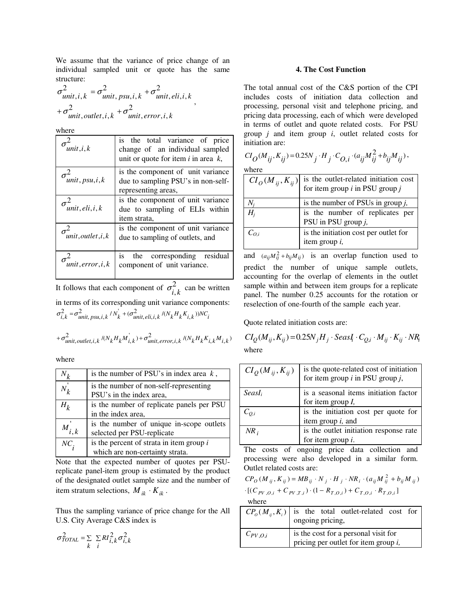We assume that the variance of price change of an individual sampled unit or quote has the same structure:

$$
\sigma_{unit,i,k}^{2} = \sigma_{unit,psu,i,k}^{2} + \sigma_{unit,eli,i,k}^{2}
$$
  
+
$$
\sigma_{unit,outlet,i,k}^{2} + \sigma_{unit,error,i,k}^{2}
$$

where

| unit, i, k         | is the total variance of price<br>change of an individual sampled<br>unit or quote for item $i$ in area $k$ , |  |  |  |  |  |  |  |  |
|--------------------|---------------------------------------------------------------------------------------------------------------|--|--|--|--|--|--|--|--|
| unit, psu, i, k    | is the component of unit variance<br>due to sampling PSU's in non-self-<br>representing areas,                |  |  |  |  |  |  |  |  |
| unit, eli, i, k    | is the component of unit variance<br>due to sampling of ELIs within<br>item strata,                           |  |  |  |  |  |  |  |  |
| unit, outlet, i, k | is the component of unit variance<br>due to sampling of outlets, and                                          |  |  |  |  |  |  |  |  |
| unit, error, i, k  | corresponding<br>residual<br>the<br>1S.<br>component of unit variance.                                        |  |  |  |  |  |  |  |  |

It follows that each component of  $\sigma_{i,k}^2$  can be written in terms of its corresponding unit variance components:  $\sigma_{i,k}^2 = \sigma_{unit,psu,i,k}^2 / N_k + (\sigma_{unit,eli,i,k}^2 / (N_k H_k K_{i,k}))NC_i$ 

$$
+ \sigma^2_{unit,outlet,i,k} \sqrt{N_k H_k M_{i,k}}) + \sigma^2_{unit,error,i,k} \sqrt{N_k H_k K_{i,k} M_{i,k}}
$$

where

| $\mathsf{v}_k$ | is the number of PSU's in index area $k$ ,                                    |
|----------------|-------------------------------------------------------------------------------|
| $N_k$          | is the number of non-self-representing<br>PSU's in the index area,            |
| $H_{\it k}$    | is the number of replicate panels per PSU<br>in the index area,               |
| $M_{i,k}$      | is the number of unique in-scope outlets<br>selected per PSU-replicate        |
| $NC_{.}$       | is the percent of strata in item group $i$<br>which are non-certainty strata. |

Note that the expected number of quotes per PSUreplicate panel-item group is estimated by the product of the designated outlet sample size and the number of item stratum selections,  $M_{ik} \cdot K_{ik}$ .

Thus the sampling variance of price change for the All U.S. City Average C&S index is

$$
\sigma_{TOTAL}^2 = \sum_{k} \sum_{i} RI_{i,k}^2 \sigma_{i,k}^2
$$

## **4. The Cost Function**

The total annual cost of the C&S portion of the CPI includes costs of initiation data collection and processing, personal visit and telephone pricing, and pricing data processing, each of which were developed in terms of outlet and quote related costs. For PSU group *j* and item group *i*, outlet related costs for initiation are:

$$
CI_O(M_{ij}, K_{ij}) = 0.25N_j \cdot H_j \cdot C_{O,i} \cdot (a_{ij}M_{ij}^2 + b_{ij}M_{ij}),
$$
  
where

| $CI_{O}(M_{ij}, K_{ij})$ | is the outlet-related initiation cost<br>for item group $i$ in PSU group $j$ |
|--------------------------|------------------------------------------------------------------------------|
|                          | is the number of PSUs in group $j$ ,                                         |
| $H_i$                    | is the number of replicates per<br>PSU in PSU group j,                       |
| $C_{O,i}$                | is the initiation cost per outlet for<br>item group i,                       |

and  $(a_{ij}M_{ij}^2 + b_{ij}M_{ij})$  is an overlap function used to predict the number of unique sample outlets, accounting for the overlap of elements in the outlet sample within and between item groups for a replicate panel. The number 0.25 accounts for the rotation or reselection of one-fourth of the sample each year.

Quote related initiation costs are:

$$
CI_{Q}(M_{ij}, K_{ij}) = 0.25N_jH_j \cdot SeasI_i \cdot C_{Q,i} \cdot M_{ij} \cdot K_{ij} \cdot NR_i
$$
  
where

| $CI_{O}(M_{ij}, K_{ij})$ | is the quote-related cost of initiation<br>for item group $i$ in PSU group $j$ , |
|--------------------------|----------------------------------------------------------------------------------|
| SeasI <sub>i</sub>       | is a seasonal items initiation factor                                            |
|                          | for item group $I$ ,                                                             |
| $C_{O,i}$                | is the initiation cost per quote for                                             |
|                          | item group $i$ , and                                                             |
| $NR_i$                   | is the outlet initiation response rate                                           |
|                          | for item group $i$ .                                                             |

The costs of ongoing price data collection and processing were also developed in a similar form. Outlet related costs are:

$$
CP_{O}(M_{ij}, K_{ij}) = MB_{ij} \cdot N_j \cdot H_j \cdot NR_i \cdot (a_{ij} M_{ij}^2 + b_{ij} M_{ij})
$$
  
·[( $C_{PV,O,i}$  +  $C_{PV,T,i}$ ) · (1 –  $R_{T,O,i}$ ) +  $C_{T,O,i}$  ·  $R_{T,O,i}$ ]  
where

|              | $CP_o(M_{ij}, K_i)$ is the total outlet-related cost for<br>ongoing pricing,    |
|--------------|---------------------------------------------------------------------------------|
| $C_{PV,0,i}$ | is the cost for a personal visit for<br>pricing per outlet for item group $i$ , |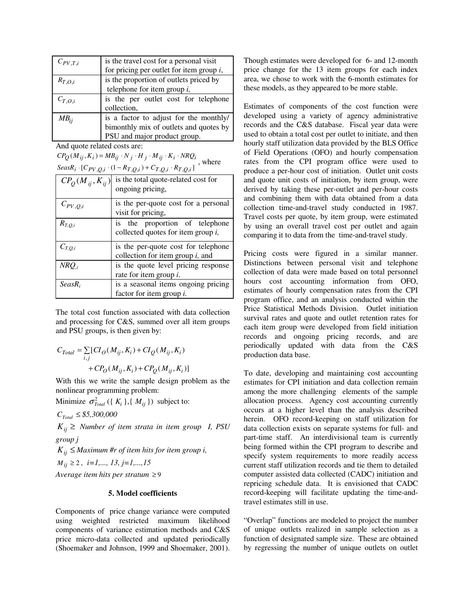| $C_{PV,T,i}$  | is the travel cost for a personal visit     |  |  |  |  |  |  |  |
|---------------|---------------------------------------------|--|--|--|--|--|--|--|
|               |                                             |  |  |  |  |  |  |  |
|               | for pricing per outlet for item group $i$ , |  |  |  |  |  |  |  |
| $R_{T, O, i}$ | is the proportion of outlets priced by      |  |  |  |  |  |  |  |
|               | telephone for item group $i$ ,              |  |  |  |  |  |  |  |
| $C_{T, O, i}$ | is the per outlet cost for telephone        |  |  |  |  |  |  |  |
|               | collection,                                 |  |  |  |  |  |  |  |
| $MB_{ii}$     | is a factor to adjust for the monthly/      |  |  |  |  |  |  |  |
|               | bimonthly mix of outlets and quotes by      |  |  |  |  |  |  |  |
|               | PSU and major product group.                |  |  |  |  |  |  |  |

And quote related costs are:

 $\int$ SeasR<sub>i</sub>  $\cdot$   $[C_{PV,Q,i} \cdot (1 - R_{T,Q,i}) + C_{T,Q,i} \cdot R_{T,Q,i}]$  $CP_Q(M_{ij}, K_i) = MB_{ij} \cdot N_j \cdot H_j \cdot M_{ij} \cdot K_i \cdot NRQ_i$ , where<br>  $SeasR_i \cdot [C_{PVO_i}: (1 - R_{TO_i}) + C_{TO_i} \cdot R_{TO_i}]$ , where

| $CPO(Mij, Kij)$ | is the total quote-related cost for<br>ongoing pricing,                    |
|-----------------|----------------------------------------------------------------------------|
| $C_{PV,Q,i}$    | is the per-quote cost for a personal<br>visit for pricing,                 |
| $R_{T,Q,i}$     | is the proportion of telephone<br>collected quotes for item group $i$ ,    |
| $C_{T, O, i}$   | is the per-quote cost for telephone<br>collection for item group $i$ , and |
| $NRQ_i$         | is the quote level pricing response<br>rate for item group $i$ .           |
| $SeasR_i$       | is a seasonal items ongoing pricing<br>factor for item group <i>i</i> .    |

The total cost function associated with data collection and processing for C&S, summed over all item groups and PSU groups, is then given by:

$$
C_{Total} = \sum_{i,j} [CI_O(M_{ij}, K_i) + CI_Q(M_{ij}, K_i)
$$

$$
+ CP_O(M_{ij}, K_i) + CP_Q(M_{ij}, K_i)]
$$

With this we write the sample design problem as the nonlinear programming problem:

Minimize  $\sigma_{\text{Total}}^2$  ({  $K_i$  }, {  $M_{ij}$  }) subject to:

*CTotal* ≤ *\$5,300,000* 

 $K_{ij} \geq$  *Number of item strata in item group I, PSU group j* 

 $K_{ii} \leq$  *Maximum #r of item hits for item group i,* 

*Mij* ≥ 2 *, i=1,..., 13, j=1,...,15* 

*Average item hits per stratum* ≥ 9

## **5. Model coefficients**

Components of price change variance were computed using weighted restricted maximum likelihood components of variance estimation methods and C&S price micro-data collected and updated periodically (Shoemaker and Johnson, 1999 and Shoemaker, 2001). Though estimates were developed for 6- and 12-month price change for the 13 item groups for each index area, we chose to work with the 6-month estimates for these models, as they appeared to be more stable.

Estimates of components of the cost function were developed using a variety of agency administrative records and the C&S database. Fiscal year data were used to obtain a total cost per outlet to initiate, and then hourly staff utilization data provided by the BLS Office of Field Operations (OFO) and hourly compensation rates from the CPI program office were used to produce a per-hour cost of initiation. Outlet unit costs and quote unit costs of initiation, by item group, were derived by taking these per-outlet and per-hour costs and combining them with data obtained from a data collection time-and-travel study conducted in 1987. Travel costs per quote, by item group, were estimated by using an overall travel cost per outlet and again comparing it to data from the time-and-travel study.

Pricing costs were figured in a similar manner. Distinctions between personal visit and telephone collection of data were made based on total personnel hours cost accounting information from OFO, estimates of hourly compensation rates from the CPI program office, and an analysis conducted within the Price Statistical Methods Division. Outlet initiation survival rates and quote and outlet retention rates for each item group were developed from field initiation records and ongoing pricing records, and are periodically updated with data from the C&S production data base.

To date, developing and maintaining cost accounting estimates for CPI initiation and data collection remain among the more challenging elements of the sample allocation process. Agency cost accounting currently occurs at a higher level than the analysis described herein. OFO record-keeping on staff utilization for data collection exists on separate systems for full- and part-time staff. An interdivisional team is currently being formed within the CPI program to describe and specify system requirements to more readily access current staff utilization records and tie them to detailed computer assisted data collected (CADC) initiation and repricing schedule data. It is envisioned that CADC record-keeping will facilitate updating the time-andtravel estimates still in use.

"Overlap" functions are modeled to project the number of unique outlets realized in sample selection as a function of designated sample size. These are obtained by regressing the number of unique outlets on outlet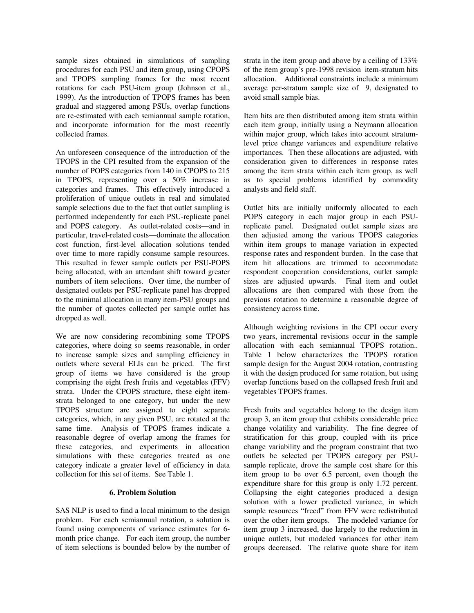sample sizes obtained in simulations of sampling procedures for each PSU and item group, using CPOPS and TPOPS sampling frames for the most recent rotations for each PSU-item group (Johnson et al., 1999). As the introduction of TPOPS frames has been gradual and staggered among PSUs, overlap functions are re-estimated with each semiannual sample rotation, and incorporate information for the most recently collected frames.

An unforeseen consequence of the introduction of the TPOPS in the CPI resulted from the expansion of the number of POPS categories from 140 in CPOPS to 215 in TPOPS, representing over a 50% increase in categories and frames. This effectively introduced a proliferation of unique outlets in real and simulated sample selections due to the fact that outlet sampling is performed independently for each PSU-replicate panel and POPS category. As outlet-related costs—and in particular, travel-related costs—dominate the allocation cost function, first-level allocation solutions tended over time to more rapidly consume sample resources. This resulted in fewer sample outlets per PSU-POPS being allocated, with an attendant shift toward greater numbers of item selections. Over time, the number of designated outlets per PSU-replicate panel has dropped to the minimal allocation in many item-PSU groups and the number of quotes collected per sample outlet has dropped as well.

We are now considering recombining some TPOPS categories, where doing so seems reasonable, in order to increase sample sizes and sampling efficiency in outlets where several ELIs can be priced. The first group of items we have considered is the group comprising the eight fresh fruits and vegetables (FFV) strata. Under the CPOPS structure, these eight itemstrata belonged to one category, but under the new TPOPS structure are assigned to eight separate categories, which, in any given PSU, are rotated at the same time. Analysis of TPOPS frames indicate a reasonable degree of overlap among the frames for these categories, and experiments in allocation simulations with these categories treated as one category indicate a greater level of efficiency in data collection for this set of items. See Table 1.

## **6. Problem Solution**

SAS NLP is used to find a local minimum to the design problem. For each semiannual rotation, a solution is found using components of variance estimates for 6 month price change. For each item group, the number of item selections is bounded below by the number of strata in the item group and above by a ceiling of 133% of the item group's pre-1998 revision item-stratum hits allocation. Additional constraints include a minimum average per-stratum sample size of 9, designated to avoid small sample bias.

Item hits are then distributed among item strata within each item group, initially using a Neymann allocation within major group, which takes into account stratumlevel price change variances and expenditure relative importances. Then these allocations are adjusted, with consideration given to differences in response rates among the item strata within each item group, as well as to special problems identified by commodity analysts and field staff.

Outlet hits are initially uniformly allocated to each POPS category in each major group in each PSUreplicate panel. Designated outlet sample sizes are then adjusted among the various TPOPS categories within item groups to manage variation in expected response rates and respondent burden. In the case that item hit allocations are trimmed to accommodate respondent cooperation considerations, outlet sample sizes are adjusted upwards. Final item and outlet allocations are then compared with those from the previous rotation to determine a reasonable degree of consistency across time.

Although weighting revisions in the CPI occur every two years, incremental revisions occur in the sample allocation with each semiannual TPOPS rotation.. Table 1 below characterizes the TPOPS rotation sample design for the August 2004 rotation, contrasting it with the design produced for same rotation, but using overlap functions based on the collapsed fresh fruit and vegetables TPOPS frames.

Fresh fruits and vegetables belong to the design item group 3, an item group that exhibits considerable price change volatility and variability. The fine degree of stratification for this group, coupled with its price change variability and the program constraint that two outlets be selected per TPOPS category per PSUsample replicate, drove the sample cost share for this item group to be over 6.5 percent, even though the expenditure share for this group is only 1.72 percent. Collapsing the eight categories produced a design solution with a lower predicted variance, in which sample resources "freed" from FFV were redistributed over the other item groups. The modeled variance for item group 3 increased, due largely to the reduction in unique outlets, but modeled variances for other item groups decreased. The relative quote share for item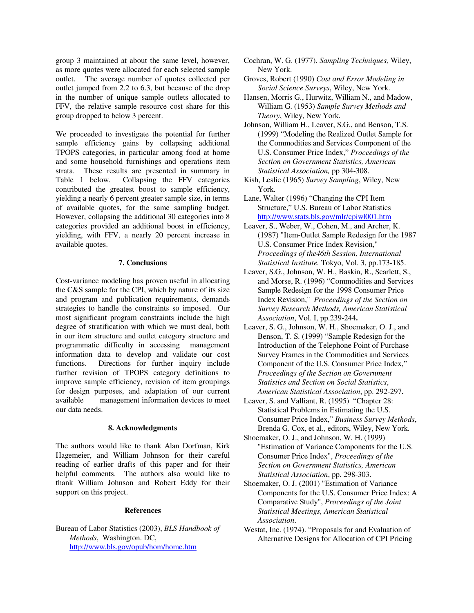group 3 maintained at about the same level, however, as more quotes were allocated for each selected sample outlet. The average number of quotes collected per outlet jumped from 2.2 to 6.3, but because of the drop in the number of unique sample outlets allocated to FFV, the relative sample resource cost share for this group dropped to below 3 percent.

We proceeded to investigate the potential for further sample efficiency gains by collapsing additional TPOPS categories, in particular among food at home and some household furnishings and operations item strata. These results are presented in summary in Table 1 below. Collapsing the FFV categories contributed the greatest boost to sample efficiency, yielding a nearly 6 percent greater sample size, in terms of available quotes, for the same sampling budget. However, collapsing the additional 30 categories into 8 categories provided an additional boost in efficiency, yielding, with FFV, a nearly 20 percent increase in available quotes.

## **7. Conclusions**

Cost-variance modeling has proven useful in allocating the C&S sample for the CPI, which by nature of its size and program and publication requirements, demands strategies to handle the constraints so imposed. Our most significant program constraints include the high degree of stratification with which we must deal, both in our item structure and outlet category structure and programmatic difficulty in accessing management information data to develop and validate our cost functions. Directions for further inquiry include further revision of TPOPS category definitions to improve sample efficiency, revision of item groupings for design purposes, and adaptation of our current available management information devices to meet our data needs.

## **8. Acknowledgments**

The authors would like to thank Alan Dorfman, Kirk Hagemeier, and William Johnson for their careful reading of earlier drafts of this paper and for their helpful comments. The authors also would like to thank William Johnson and Robert Eddy for their support on this project.

#### **References**

Bureau of Labor Statistics (2003), *BLS Handbook of Methods*, Washington. DC, http://www.bls.gov/opub/hom/home.htm

- Cochran, W. G. (1977). *Sampling Techniques,* Wiley, New York.
- Groves, Robert (1990) *Cost and Error Modeling in Social Science Surveys*, Wiley, New York.
- Hansen, Morris G., Hurwitz, William N., and Madow, William G. (1953) *Sample Survey Methods and Theory*, Wiley, New York.
- Johnson, William H., Leaver, S.G., and Benson, T.S. (1999) "Modeling the Realized Outlet Sample for the Commodities and Services Component of the U.S. Consumer Price Index," *Proceedings of the Section on Government Statistics, American Statistical Association,* pp 304-308.
- Kish, Leslie (1965) *Survey Sampling*, Wiley, New York.
- Lane, Walter (1996) "Changing the CPI Item Structure," U.S. Bureau of Labor Statistics http://www.stats.bls.gov/mlr/cpiwl001.htm
- Leaver, S., Weber, W., Cohen, M., and Archer, K. (1987) "Item-Outlet Sample Redesign for the 1987 U.S. Consumer Price Index Revision," *Proceedings of the46th Session, International Statistical Institute.* Tokyo, Vol. 3, pp.173-185.
- Leaver, S.G., Johnson, W. H., Baskin, R., Scarlett, S., and Morse, R. (1996) "Commodities and Services Sample Redesign for the 1998 Consumer Price Index Revision,"*Proceedings of the Section on Survey Research Methods, American Statistical Association*, Vol. I, pp.239-244**.**
- Leaver, S. G., Johnson, W. H., Shoemaker, O. J., and Benson, T. S. (1999) "Sample Redesign for the Introduction of the Telephone Point of Purchase Survey Frames in the Commodities and Services Component of the U.S. Consumer Price Index," *Proceedings of the Section on Government Statistics and Section on Social Statistics*, *American Statistical Association*, pp. 292-297**.**
- Leaver, S. and Valliant, R. (1995) "Chapter 28: Statistical Problems in Estimating the U.S. Consumer Price Index," *Business Survey Methods*, Brenda G. Cox, et al., editors, Wiley, New York.
- Shoemaker, O. J., and Johnson, W. H. (1999) "Estimation of Variance Components for the U.S. Consumer Price Index", *Proceedings of the Section on Government Statistics, American Statistical Association*, pp. 298-303.
- Shoemaker, O. J. (2001) "Estimation of Variance Components for the U.S. Consumer Price Index: A Comparative Study", *Proceedings of the Joint Statistical Meetings, American Statistical Association*.
- Westat, Inc. (1974). "Proposals for and Evaluation of Alternative Designs for Allocation of CPI Pricing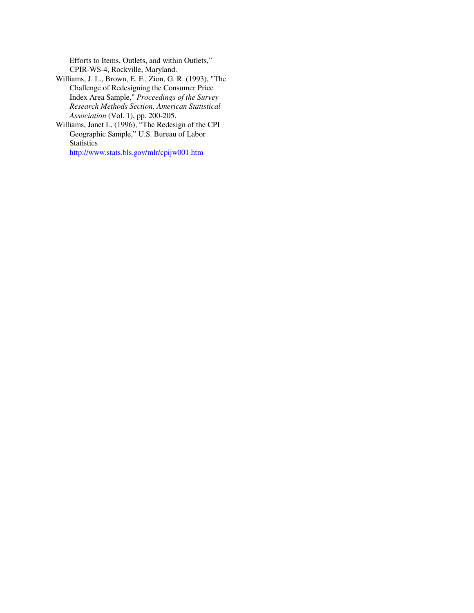Efforts to Items, Outlets, and within Outlets," CPIR-WS-4, Rockville, Maryland.

- Williams, J. L., Brown, E. F., Zion, G. R. (1993), "The Challenge of Redesigning the Consumer Price Index Area Sample," *Proceedings of the Survey Research Methods Section, American Statistical Association* (Vol. 1), pp. 200-205.
- Williams, Janet L. (1996), "The Redesign of the CPI Geographic Sample," U.S. Bureau of Labor **Statistics**

http://www.stats.bls.gov/mlr/cpijw001.htm